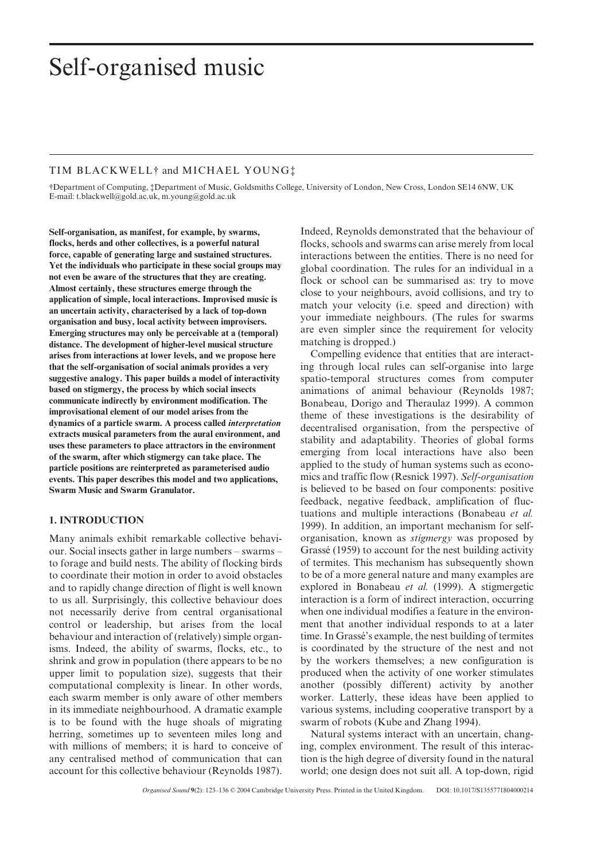# Self-organised music

## TIM BLACKWELL† and MICHAEL YOUNG‡

†Department of Computing, ‡Department of Music, Goldsmiths College, University of London, New Cross, London SE14 6NW, UK E-mail: t.blackwell@gold.ac.uk, m.young@gold.ac.uk

**Self-organisation, as manifest, for example, by swarms, flocks, herds and other collectives, is a powerful natural force, capable of generating large and sustained structures. Yet the individuals who participate in these social groups may not even be aware of the structures that they are creating. Almost certainly, these structures emerge through the application of simple, local interactions. Improvised music is an uncertain activity, characterised by a lack of top-down organisation and busy, local activity between improvisers. Emerging structures may only be perceivable at a (temporal) distance. The development of higher-level musical structure arises from interactions at lower levels, and we propose here that the self-organisation of social animals provides a very suggestive analogy. This paper builds a model of interactivity based on stigmergy, the process by which social insects communicate indirectly by environment modification. The improvisational element of our model arises from the dynamics of a particle swarm. A process called** *interpretation* **extracts musical parameters from the aural environment, and uses these parameters to place attractors in the environment of the swarm, after which stigmergy can take place. The particle positions are reinterpreted as parameterised audio events. This paper describes this model and two applications, Swarm Music and Swarm Granulator.**

## **1. INTRODUCTION**

Many animals exhibit remarkable collective behaviour. Social insects gather in large numbers – swarms – to forage and build nests. The ability of flocking birds to coordinate their motion in order to avoid obstacles and to rapidly change direction of flight is well known to us all. Surprisingly, this collective behaviour does not necessarily derive from central organisational control or leadership, but arises from the local behaviour and interaction of (relatively) simple organisms. Indeed, the ability of swarms, flocks, etc., to shrink and grow in population (there appears to be no upper limit to population size), suggests that their computational complexity is linear. In other words, each swarm member is only aware of other members in its immediate neighbourhood. A dramatic example is to be found with the huge shoals of migrating herring, sometimes up to seventeen miles long and with millions of members; it is hard to conceive of any centralised method of communication that can account for this collective behaviour (Reynolds 1987).

Indeed, Reynolds demonstrated that the behaviour of flocks, schools and swarms can arise merely from local interactions between the entities. There is no need for global coordination. The rules for an individual in a flock or school can be summarised as: try to move close to your neighbours, avoid collisions, and try to match your velocity (i.e. speed and direction) with your immediate neighbours. (The rules for swarms are even simpler since the requirement for velocity matching is dropped.)

Compelling evidence that entities that are interacting through local rules can self-organise into large spatio-temporal structures comes from computer animations of animal behaviour (Reynolds 1987; Bonabeau, Dorigo and Theraulaz 1999). A common theme of these investigations is the desirability of decentralised organisation, from the perspective of stability and adaptability. Theories of global forms emerging from local interactions have also been applied to the study of human systems such as economics and traffic flow (Resnick 1997). *Self-organisation* is believed to be based on four components: positive feedback, negative feedback, amplification of fluctuations and multiple interactions (Bonabeau *et al.* 1999). In addition, an important mechanism for selforganisation, known as *stigmergy* was proposed by Grassé (1959) to account for the nest building activity of termites. This mechanism has subsequently shown to be of a more general nature and many examples are explored in Bonabeau *et al.* (1999). A stigmergetic interaction is a form of indirect interaction, occurring when one individual modifies a feature in the environment that another individual responds to at a later time. In Grassé's example, the nest building of termites is coordinated by the structure of the nest and not by the workers themselves; a new configuration is produced when the activity of one worker stimulates another (possibly different) activity by another worker. Latterly, these ideas have been applied to various systems, including cooperative transport by a swarm of robots (Kube and Zhang 1994).

Natural systems interact with an uncertain, changing, complex environment. The result of this interaction is the high degree of diversity found in the natural world; one design does not suit all. A top-down, rigid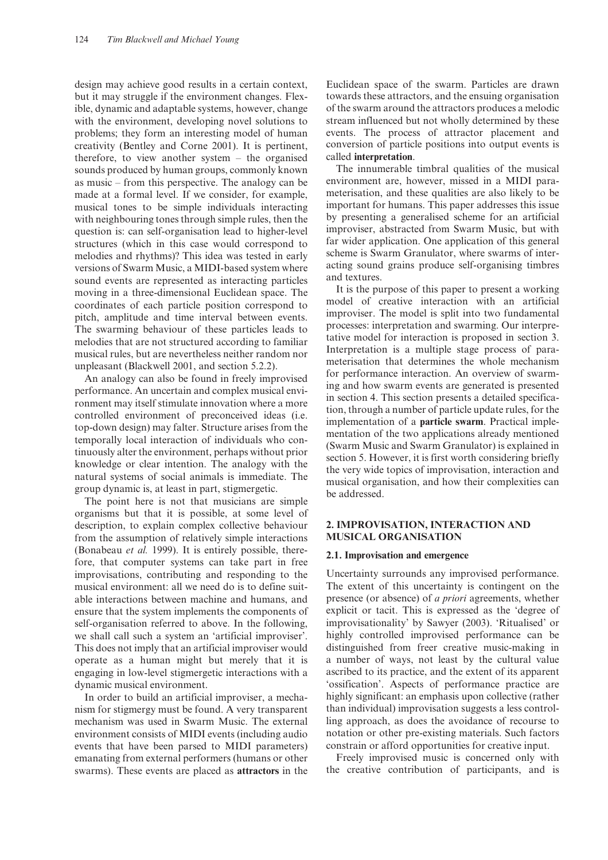design may achieve good results in a certain context, but it may struggle if the environment changes. Flexible, dynamic and adaptable systems, however, change with the environment, developing novel solutions to problems; they form an interesting model of human creativity (Bentley and Corne 2001). It is pertinent, therefore, to view another system – the organised sounds produced by human groups, commonly known as music – from this perspective. The analogy can be made at a formal level. If we consider, for example, musical tones to be simple individuals interacting with neighbouring tones through simple rules, then the question is: can self-organisation lead to higher-level structures (which in this case would correspond to melodies and rhythms)? This idea was tested in early versions of Swarm Music, a MIDI-based system where sound events are represented as interacting particles moving in a three-dimensional Euclidean space. The coordinates of each particle position correspond to pitch, amplitude and time interval between events. The swarming behaviour of these particles leads to melodies that are not structured according to familiar musical rules, but are nevertheless neither random nor unpleasant (Blackwell 2001, and section 5.2.2).

An analogy can also be found in freely improvised performance. An uncertain and complex musical environment may itself stimulate innovation where a more controlled environment of preconceived ideas (i.e. top-down design) may falter. Structure arises from the temporally local interaction of individuals who continuously alter the environment, perhaps without prior knowledge or clear intention. The analogy with the natural systems of social animals is immediate. The group dynamic is, at least in part, stigmergetic.

The point here is not that musicians are simple organisms but that it is possible, at some level of description, to explain complex collective behaviour from the assumption of relatively simple interactions (Bonabeau *et al.* 1999). It is entirely possible, therefore, that computer systems can take part in free improvisations, contributing and responding to the musical environment: all we need do is to define suitable interactions between machine and humans, and ensure that the system implements the components of self-organisation referred to above. In the following, we shall call such a system an 'artificial improviser'. This does not imply that an artificial improviser would operate as a human might but merely that it is engaging in low-level stigmergetic interactions with a dynamic musical environment.

In order to build an artificial improviser, a mechanism for stigmergy must be found. A very transparent mechanism was used in Swarm Music. The external environment consists of MIDI events (including audio events that have been parsed to MIDI parameters) emanating from external performers (humans or other swarms). These events are placed as **attractors** in the

Euclidean space of the swarm. Particles are drawn towards these attractors, and the ensuing organisation of the swarm around the attractors produces a melodic stream influenced but not wholly determined by these events. The process of attractor placement and conversion of particle positions into output events is called **interpretation**.

The innumerable timbral qualities of the musical environment are, however, missed in a MIDI parameterisation, and these qualities are also likely to be important for humans. This paper addresses this issue by presenting a generalised scheme for an artificial improviser, abstracted from Swarm Music, but with far wider application. One application of this general scheme is Swarm Granulator, where swarms of interacting sound grains produce self-organising timbres and textures.

It is the purpose of this paper to present a working model of creative interaction with an artificial improviser. The model is split into two fundamental processes: interpretation and swarming. Our interpretative model for interaction is proposed in section 3. Interpretation is a multiple stage process of parameterisation that determines the whole mechanism for performance interaction. An overview of swarming and how swarm events are generated is presented in section 4. This section presents a detailed specification, through a number of particle update rules, for the implementation of a **particle swarm**. Practical implementation of the two applications already mentioned (Swarm Music and Swarm Granulator) is explained in section 5. However, it is first worth considering briefly the very wide topics of improvisation, interaction and musical organisation, and how their complexities can be addressed.

## **2. IMPROVISATION, INTERACTION AND MUSICAL ORGANISATION**

#### **2.1. Improvisation and emergence**

Uncertainty surrounds any improvised performance. The extent of this uncertainty is contingent on the presence (or absence) of *a priori* agreements, whether explicit or tacit. This is expressed as the 'degree of improvisationality' by Sawyer (2003). 'Ritualised' or highly controlled improvised performance can be distinguished from freer creative music-making in a number of ways, not least by the cultural value ascribed to its practice, and the extent of its apparent 'ossification'. Aspects of performance practice are highly significant: an emphasis upon collective (rather than individual) improvisation suggests a less controlling approach, as does the avoidance of recourse to notation or other pre-existing materials. Such factors constrain or afford opportunities for creative input.

Freely improvised music is concerned only with the creative contribution of participants, and is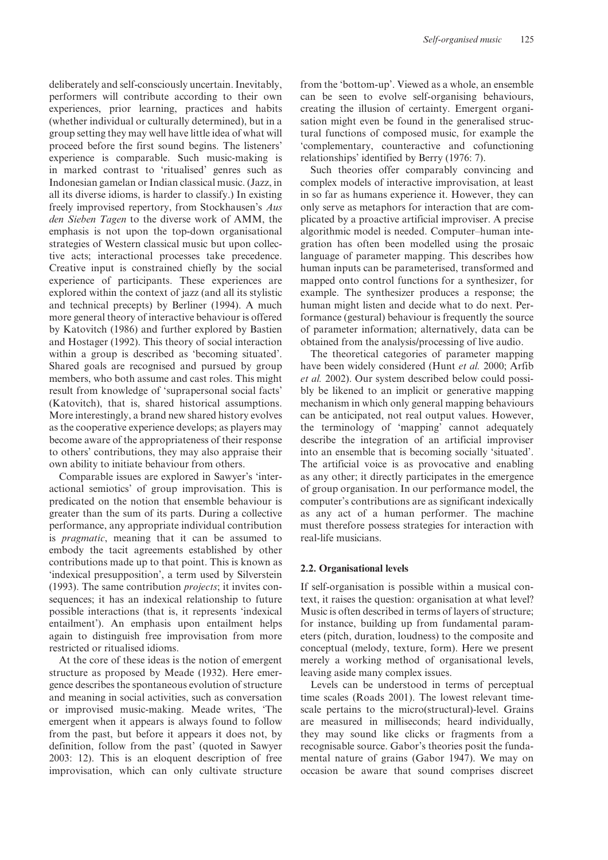deliberately and self-consciously uncertain. Inevitably, performers will contribute according to their own experiences, prior learning, practices and habits (whether individual or culturally determined), but in a group setting they may well have little idea of what will proceed before the first sound begins. The listeners' experience is comparable. Such music-making is in marked contrast to 'ritualised' genres such as Indonesian gamelan or Indian classical music. (Jazz, in all its diverse idioms, is harder to classify.) In existing freely improvised repertory, from Stockhausen's *Aus den Sieben Tagen* to the diverse work of AMM, the emphasis is not upon the top-down organisational strategies of Western classical music but upon collective acts; interactional processes take precedence. Creative input is constrained chiefly by the social experience of participants. These experiences are explored within the context of jazz (and all its stylistic and technical precepts) by Berliner (1994). A much more general theory of interactive behaviour is offered by Katovitch (1986) and further explored by Bastien and Hostager (1992). This theory of social interaction within a group is described as 'becoming situated'. Shared goals are recognised and pursued by group members, who both assume and cast roles. This might result from knowledge of 'suprapersonal social facts' (Katovitch), that is, shared historical assumptions. More interestingly, a brand new shared history evolves as the cooperative experience develops; as players may become aware of the appropriateness of their response to others' contributions, they may also appraise their own ability to initiate behaviour from others.

Comparable issues are explored in Sawyer's 'interactional semiotics' of group improvisation. This is predicated on the notion that ensemble behaviour is greater than the sum of its parts. During a collective performance, any appropriate individual contribution is *pragmatic*, meaning that it can be assumed to embody the tacit agreements established by other contributions made up to that point. This is known as 'indexical presupposition', a term used by Silverstein (1993). The same contribution *projects*; it invites consequences; it has an indexical relationship to future possible interactions (that is, it represents 'indexical entailment'). An emphasis upon entailment helps again to distinguish free improvisation from more restricted or ritualised idioms.

At the core of these ideas is the notion of emergent structure as proposed by Meade (1932). Here emergence describes the spontaneous evolution of structure and meaning in social activities, such as conversation or improvised music-making. Meade writes, 'The emergent when it appears is always found to follow from the past, but before it appears it does not, by definition, follow from the past' (quoted in Sawyer 2003: 12). This is an eloquent description of free improvisation, which can only cultivate structure

from the 'bottom-up'. Viewed as a whole, an ensemble can be seen to evolve self-organising behaviours, creating the illusion of certainty. Emergent organisation might even be found in the generalised structural functions of composed music, for example the 'complementary, counteractive and cofunctioning relationships' identified by Berry (1976: 7).

Such theories offer comparably convincing and complex models of interactive improvisation, at least in so far as humans experience it. However, they can only serve as metaphors for interaction that are complicated by a proactive artificial improviser. A precise algorithmic model is needed. Computer–human integration has often been modelled using the prosaic language of parameter mapping. This describes how human inputs can be parameterised, transformed and mapped onto control functions for a synthesizer, for example. The synthesizer produces a response; the human might listen and decide what to do next. Performance (gestural) behaviour is frequently the source of parameter information; alternatively, data can be obtained from the analysis/processing of live audio.

The theoretical categories of parameter mapping have been widely considered (Hunt *et al.* 2000; Arfib *et al.* 2002). Our system described below could possibly be likened to an implicit or generative mapping mechanism in which only general mapping behaviours can be anticipated, not real output values. However, the terminology of 'mapping' cannot adequately describe the integration of an artificial improviser into an ensemble that is becoming socially 'situated'. The artificial voice is as provocative and enabling as any other; it directly participates in the emergence of group organisation. In our performance model, the computer's contributions are as significant indexically as any act of a human performer. The machine must therefore possess strategies for interaction with real-life musicians.

#### **2.2. Organisational levels**

If self-organisation is possible within a musical context, it raises the question: organisation at what level? Music is often described in terms of layers of structure; for instance, building up from fundamental parameters (pitch, duration, loudness) to the composite and conceptual (melody, texture, form). Here we present merely a working method of organisational levels, leaving aside many complex issues.

Levels can be understood in terms of perceptual time scales (Roads 2001). The lowest relevant timescale pertains to the micro(structural)-level. Grains are measured in milliseconds; heard individually, they may sound like clicks or fragments from a recognisable source. Gabor's theories posit the fundamental nature of grains (Gabor 1947). We may on occasion be aware that sound comprises discreet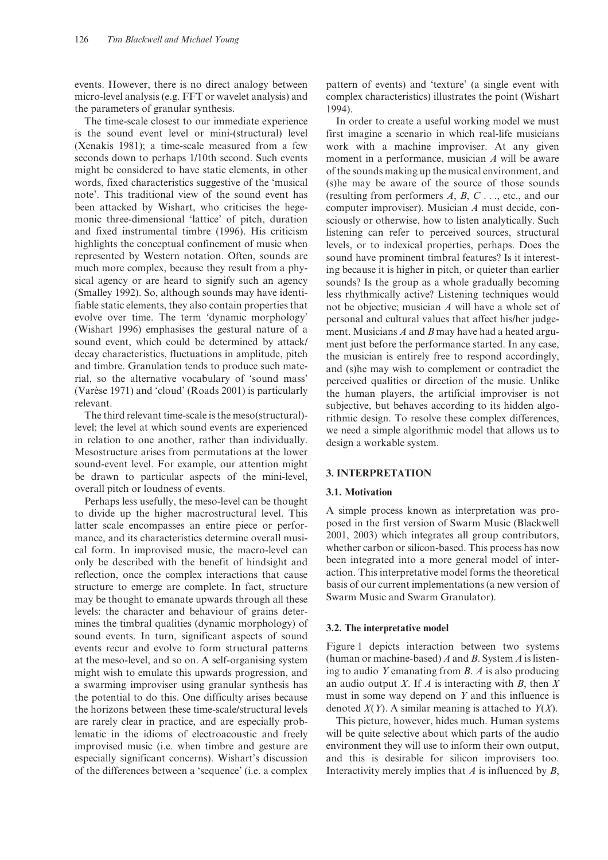events. However, there is no direct analogy between micro-level analysis (e.g. FFT or wavelet analysis) and the parameters of granular synthesis.

The time-scale closest to our immediate experience is the sound event level or mini-(structural) level (Xenakis 1981); a time-scale measured from a few seconds down to perhaps 1/10th second. Such events might be considered to have static elements, in other words, fixed characteristics suggestive of the 'musical note'. This traditional view of the sound event has been attacked by Wishart, who criticises the hegemonic three-dimensional 'lattice' of pitch, duration and fixed instrumental timbre (1996). His criticism highlights the conceptual confinement of music when represented by Western notation. Often, sounds are much more complex, because they result from a physical agency or are heard to signify such an agency (Smalley 1992). So, although sounds may have identifiable static elements, they also contain properties that evolve over time. The term 'dynamic morphology' (Wishart 1996) emphasises the gestural nature of a sound event, which could be determined by attack/ decay characteristics, fluctuations in amplitude, pitch and timbre. Granulation tends to produce such material, so the alternative vocabulary of 'sound mass' (Varèse 1971) and 'cloud' (Roads 2001) is particularly relevant.

The third relevant time-scale is the meso(structural) level; the level at which sound events are experienced in relation to one another, rather than individually. Mesostructure arises from permutations at the lower sound-event level. For example, our attention might be drawn to particular aspects of the mini*-*level, overall pitch or loudness of events.

Perhaps less usefully, the meso-level can be thought to divide up the higher macrostructural level. This latter scale encompasses an entire piece or performance, and its characteristics determine overall musical form. In improvised music, the macro-level can only be described with the benefit of hindsight and reflection, once the complex interactions that cause structure to emerge are complete. In fact, structure may be thought to emanate upwards through all these levels: the character and behaviour of grains determines the timbral qualities (dynamic morphology) of sound events. In turn, significant aspects of sound events recur and evolve to form structural patterns at the meso-level, and so on. A self-organising system might wish to emulate this upwards progression, and a swarming improviser using granular synthesis has the potential to do this. One difficulty arises because the horizons between these time-scale/structural levels are rarely clear in practice, and are especially problematic in the idioms of electroacoustic and freely improvised music (i.e. when timbre and gesture are especially significant concerns). Wishart's discussion of the differences between a 'sequence' (i.e. a complex

pattern of events) and 'texture' (a single event with complex characteristics) illustrates the point (Wishart 1994).

In order to create a useful working model we must first imagine a scenario in which real-life musicians work with a machine improviser. At any given moment in a performance, musician *A* will be aware of the sounds making up the musical environment, and (s)he may be aware of the source of those sounds (resulting from performers *A*, *B*, *C* . . ., etc., and our computer improviser). Musician *A* must decide, consciously or otherwise, how to listen analytically. Such listening can refer to perceived sources, structural levels, or to indexical properties, perhaps. Does the sound have prominent timbral features? Is it interesting because it is higher in pitch, or quieter than earlier sounds? Is the group as a whole gradually becoming less rhythmically active? Listening techniques would not be objective; musician *A* will have a whole set of personal and cultural values that affect his/her judgement. Musicians *A* and *B* may have had a heated argument just before the performance started. In any case, the musician is entirely free to respond accordingly, and (s)he may wish to complement or contradict the perceived qualities or direction of the music. Unlike the human players, the artificial improviser is not subjective, but behaves according to its hidden algorithmic design. To resolve these complex differences, we need a simple algorithmic model that allows us to design a workable system.

## **3. INTERPRETATION**

## **3.1. Motivation**

A simple process known as interpretation was proposed in the first version of Swarm Music (Blackwell 2001, 2003) which integrates all group contributors, whether carbon or silicon-based. This process has now been integrated into a more general model of interaction. This interpretative model forms the theoretical basis of our current implementations (a new version of Swarm Music and Swarm Granulator).

## **3.2. The interpretative model**

Figure 1 depicts interaction between two systems (human or machine-based) *A* and *B*. System *A* is listening to audio *Y* emanating from *B*. *A* is also producing an audio output *X*. If *A* is interacting with *B*, then *X* must in some way depend on *Y* and this influence is denoted *X*(*Y*). A similar meaning is attached to *Y*(*X*).

This picture, however, hides much. Human systems will be quite selective about which parts of the audio environment they will use to inform their own output, and this is desirable for silicon improvisers too. Interactivity merely implies that *A* is influenced by *B*,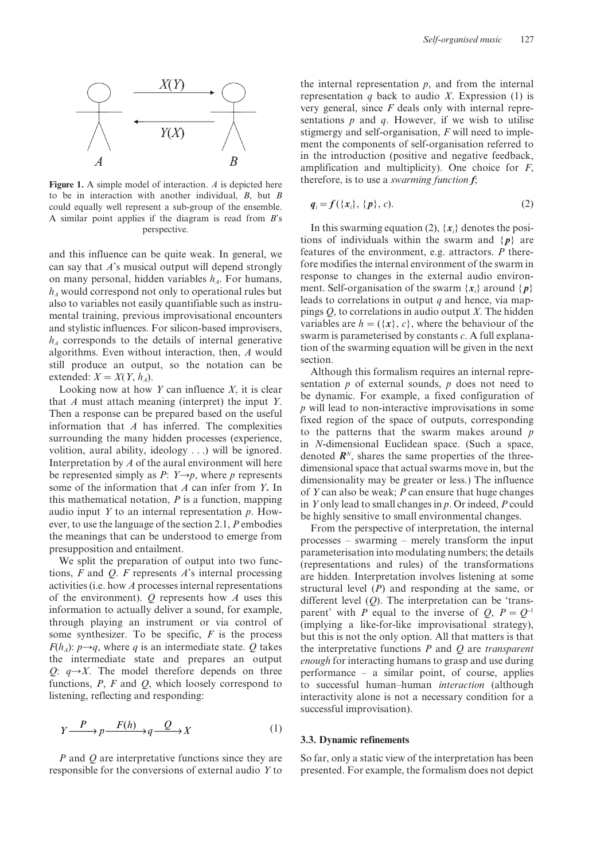

**Figure 1.** A simple model of interaction. *A* is depicted here to be in interaction with another individual, *B*, but *B* could equally well represent a sub-group of the ensemble. A similar point applies if the diagram is read from *B*'s perspective.

and this influence can be quite weak. In general, we can say that *A*'s musical output will depend strongly on many personal, hidden variables  $h_A$ . For humans,  $h_A$  would correspond not only to operational rules but also to variables not easily quantifiable such as instrumental training, previous improvisational encounters and stylistic influences. For silicon-based improvisers,  $h_A$  corresponds to the details of internal generative algorithms. Even without interaction, then, *A* would still produce an output, so the notation can be extended:  $X = X(Y, h_A)$ .

Looking now at how *Y* can influence *X*, it is clear that *A* must attach meaning (interpret) the input *Y*. Then a response can be prepared based on the useful information that *A* has inferred. The complexities surrounding the many hidden processes (experience, volition, aural ability, ideology . . .) will be ignored. Interpretation by *A* of the aural environment will here be represented simply as *P*:  $Y \rightarrow p$ , where *p* represents some of the information that *A* can infer from *Y***.** In this mathematical notation, *P* is a function, mapping audio input *Y* to an internal representation *p*. However, to use the language of the section 2.1, *P* embodies the meanings that can be understood to emerge from presupposition and entailment.

We split the preparation of output into two functions, *F* and *Q*. *F* represents *A*'s internal processing activities (i.e. how *A* processes internal representations of the environment). *Q* represents how *A* uses this information to actually deliver a sound, for example, through playing an instrument or via control of some synthesizer. To be specific, *F* is the process  $F(h_A)$ :  $p \rightarrow q$ , where *q* is an intermediate state. *Q* takes the intermediate state and prepares an output *Q*:  $q \rightarrow X$ . The model therefore depends on three functions, *P*, *F* and *Q*, which loosely correspond to listening, reflecting and responding:

$$
Y \xrightarrow{P} p \xrightarrow{F(h)} q \xrightarrow{Q} X \tag{1}
$$

*P* and *Q* are interpretative functions since they are responsible for the conversions of external audio *Y* to

the internal representation  $p$ , and from the internal representation *q* back to audio *X*. Expression (1) is very general, since *F* deals only with internal representations *p* and *q*. However, if we wish to utilise stigmergy and self-organisation, *F* will need to implement the components of self-organisation referred to in the introduction (positive and negative feedback, amplification and multiplicity). One choice for *F*, therefore, is to use a *swarming function f*;

$$
q_i = f(\{x_i\}, \{p\}, c).
$$
 (2)

In this swarming equation (2),  $\{x_i\}$  denotes the positions of individuals within the swarm and  $\{p\}$  are features of the environment, e.g. attractors. *P* therefore modifies the internal environment of the swarm in response to changes in the external audio environment. Self-organisation of the swarm  $\{x_i\}$  around  $\{p\}$ leads to correlations in output *q* and hence, via mappings *Q*, to correlations in audio output *X*. The hidden variables are  $h = (\{x\}, c)$ , where the behaviour of the swarm is parameterised by constants *c*. A full explanation of the swarming equation will be given in the next section.

Although this formalism requires an internal representation *p* of external sounds, *p* does not need to be dynamic. For example, a fixed configuration of *p* will lead to non-interactive improvisations in some fixed region of the space of outputs, corresponding to the patterns that the swarm makes around *p* in *N*-dimensional Euclidean space. (Such a space, denoted  $\mathbf{R}^{N}$ , shares the same properties of the threedimensional space that actual swarms move in, but the dimensionality may be greater or less.) The influence of *Y* can also be weak; *P* can ensure that huge changes in *Y* only lead to small changes in *p*. Or indeed, *P* could be highly sensitive to small environmental changes.

From the perspective of interpretation, the internal processes – swarming – merely transform the input parameterisation into modulating numbers; the details (representations and rules) of the transformations are hidden. Interpretation involves listening at some structural level (*P*) and responding at the same, or different level (*Q*). The interpretation can be 'transparent' with *P* equal to the inverse of *Q*,  $P = Q^{-1}$ (implying a like-for-like improvisational strategy), but this is not the only option. All that matters is that the interpretative functions *P* and *Q* are *transparent enough* for interacting humans to grasp and use during performance – a similar point, of course, applies to successful human–human *interaction* (although interactivity alone is not a necessary condition for a successful improvisation).

#### **3.3. Dynamic refinements**

So far, only a static view of the interpretation has been presented. For example, the formalism does not depict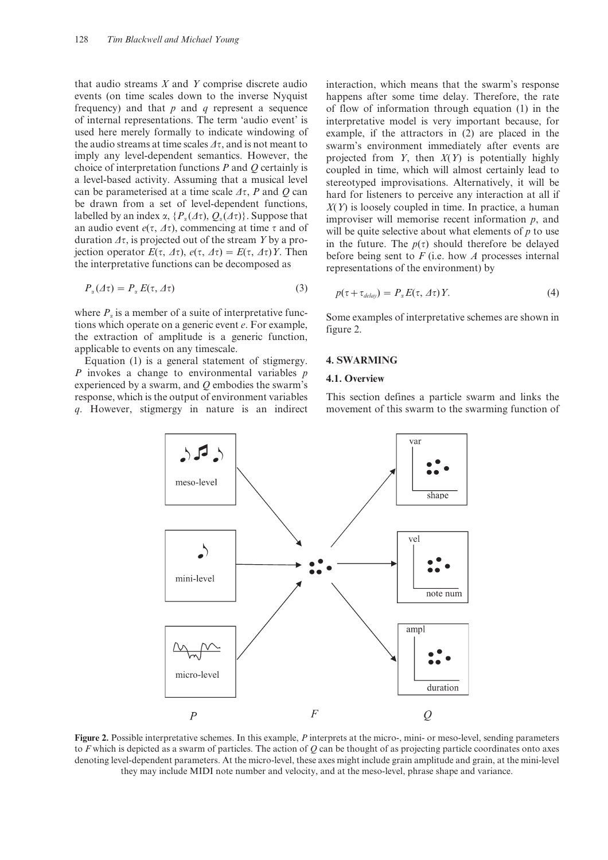that audio streams *X* and *Y* comprise discrete audio events (on time scales down to the inverse Nyquist frequency) and that *p* and *q* represent a sequence of internal representations. The term 'audio event' is used here merely formally to indicate windowing of the audio streams at time scales  $\Delta \tau$ , and is not meant to imply any level-dependent semantics. However, the choice of interpretation functions *P* and *Q* certainly is a level-based activity. Assuming that a musical level can be parameterised at a time scale  $\Delta \tau$ , *P* and *Q* can be drawn from a set of level-dependent functions, labelled by an index  $\alpha$ ,  $\{P_\alpha(\Delta \tau), Q_\alpha(\Delta \tau)\}\)$ . Suppose that an audio event  $e(\tau, \Delta \tau)$ , commencing at time  $\tau$  and of duration  $\Delta \tau$ , is projected out of the stream *Y* by a projection operator  $E(\tau, \Delta \tau)$ ,  $e(\tau, \Delta \tau) = E(\tau, \Delta \tau)Y$ . Then the interpretative functions can be decomposed as

$$
P_{\alpha}(\varDelta \tau) = P_{\alpha} E(\tau, \varDelta \tau) \tag{3}
$$

where  $P_a$  is a member of a suite of interpretative functions which operate on a generic event *e*. For example, the extraction of amplitude is a generic function, applicable to events on any timescale.

Equation (1) is a general statement of stigmergy. *P* invokes a change to environmental variables *p* experienced by a swarm, and *Q* embodies the swarm's response, which is the output of environment variables *q*. However, stigmergy in nature is an indirect

interaction, which means that the swarm's response happens after some time delay. Therefore, the rate of flow of information through equation (1) in the interpretative model is very important because, for example, if the attractors in (2) are placed in the swarm's environment immediately after events are projected from *Y*, then *X*(*Y*) is potentially highly coupled in time, which will almost certainly lead to stereotyped improvisations. Alternatively, it will be hard for listeners to perceive any interaction at all if *X*(*Y*) is loosely coupled in time. In practice, a human improviser will memorise recent information *p*, and will be quite selective about what elements of *p* to use in the future. The  $p(\tau)$  should therefore be delayed before being sent to *F* (i.e. how *A* processes internal representations of the environment) by

$$
p(\tau + \tau_{delay}) = P_{\alpha} E(\tau, \Delta \tau) Y.
$$
 (4)

Some examples of interpretative schemes are shown in figure 2.

#### **4. SWARMING**

#### **4.1. Overview**

This section defines a particle swarm and links the movement of this swarm to the swarming function of



**Figure 2.** Possible interpretative schemes. In this example, *P* interprets at the micro-, mini- or meso-level, sending parameters to *F* which is depicted as a swarm of particles. The action of *Q* can be thought of as projecting particle coordinates onto axes denoting level-dependent parameters. At the micro-level, these axes might include grain amplitude and grain, at the mini-level they may include MIDI note number and velocity, and at the meso-level, phrase shape and variance.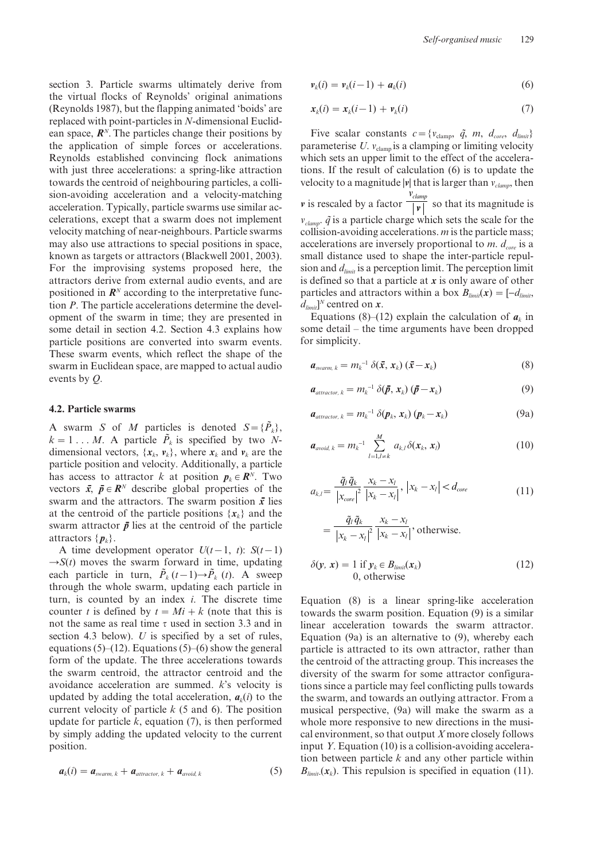section 3. Particle swarms ultimately derive from the virtual flocks of Reynolds' original animations (Reynolds 1987), but the flapping animated 'boids' are replaced with point-particles in *N*-dimensional Euclidean space, *R<sup>N</sup>*. The particles change their positions by the application of simple forces or accelerations. Reynolds established convincing flock animations with just three accelerations: a spring-like attraction towards the centroid of neighbouring particles, a collision-avoiding acceleration and a velocity-matching acceleration. Typically, particle swarms use similar accelerations, except that a swarm does not implement velocity matching of near-neighbours. Particle swarms may also use attractions to special positions in space, known as targets or attractors (Blackwell 2001, 2003). For the improvising systems proposed here, the attractors derive from external audio events, and are positioned in  $\mathbb{R}^N$  according to the interpretative function *P*. The particle accelerations determine the development of the swarm in time; they are presented in some detail in section 4.2. Section 4.3 explains how particle positions are converted into swarm events. These swarm events, which reflect the shape of the swarm in Euclidean space, are mapped to actual audio events by *Q*.

#### **4.2. Particle swarms**

A swarm *S* of *M* particles is denoted  $S = {\tilde{P}_k}$ ,  $k = 1 \ldots M$ . A particle  $\tilde{P}_k$  is specified by two *N*dimensional vectors,  $\{x_k, v_k\}$ , where  $x_k$  and  $v_k$  are the particle position and velocity. Additionally, a particle has access to attractor *k* at position  $p_k \in \mathbb{R}^N$ . Two vectors  $\bar{x}$ ,  $\bar{p} \in \mathbb{R}^N$  describe global properties of the swarm and the attractors. The swarm position  $\bar{x}$  lies at the centroid of the particle positions  $\{x_k\}$  and the swarm attractor  $\bar{p}$  lies at the centroid of the particle attractors  $\{p_k\}$ .

A time development operator  $U(t-1, t)$ :  $S(t-1)$  $\rightarrow S(t)$  moves the swarm forward in time, updating each particle in turn,  $\tilde{P}_k(t-1) \rightarrow \tilde{P}_k(t)$ . A sweep through the whole swarm, updating each particle in turn, is counted by an index *i*. The discrete time counter *t* is defined by  $t = Mi + k$  (note that this is not the same as real time  $\tau$  used in section 3.3 and in section 4.3 below). *U* is specified by a set of rules, equations (5)–(12). Equations (5)–(6) show the general form of the update. The three accelerations towards the swarm centroid, the attractor centroid and the avoidance acceleration are summed. *k*'s velocity is updated by adding the total acceleration,  $a_k(i)$  to the current velocity of particle *k* (5 and 6). The position update for particle *k*, equation (7), is then performed by simply adding the updated velocity to the current position.

$$
a_k(i) = a_{\text{swarm},k} + a_{\text{attractor},k} + a_{\text{avoid},k} \tag{5}
$$

$$
\mathbf{v}_k(i) = \mathbf{v}_k(i-1) + \mathbf{a}_k(i) \tag{6}
$$

$$
\mathbf{x}_k(i) = \mathbf{x}_k(i-1) + \mathbf{v}_k(i) \tag{7}
$$

Five scalar constants  $c = \{v_{\text{clamp}}, \tilde{q}, m, d_{\text{core}}, d_{\text{limit}}\}$ parameterise  $U$ .  $v_{\text{clamp}}$  is a clamping or limiting velocity which sets an upper limit to the effect of the accelerations. If the result of calculation (6) is to update the velocity to a magnitude  $|v|$  that is larger than  $v_{clamm}$ , then *v* is rescaled by a factor *vclamp*  $\overrightarrow{v}$  so that its magnitude is  $v_{clamm}$ .  $\tilde{q}$  is a particle charge which sets the scale for the collision-avoiding accelerations. *m* is the particle mass; accelerations are inversely proportional to  $m$ .  $d_{core}$  is a small distance used to shape the inter-particle repulsion and *dlimit* is a perception limit. The perception limit is defined so that a particle at *x* is only aware of other particles and attractors within a box  $B_{limit}(x) = \begin{bmatrix} -d_{limit}, \\ -d_{limit}, \end{bmatrix}$  $d_{limit}$ <sup>*N*</sup> centred on *x*.

Equations (8)–(12) explain the calculation of  $a_k$  in some detail – the time arguments have been dropped for simplicity.

$$
\boldsymbol{a}_{\text{swarm}, k} = m_k^{-1} \, \delta(\bar{\boldsymbol{x}}, \, \boldsymbol{x}_k) \, (\bar{\boldsymbol{x}} - \boldsymbol{x}_k) \tag{8}
$$

$$
a_{\text{attractor}, k} = m_k^{-1} \, \delta(\bar{p}, x_k) \, (\bar{p} - x_k) \tag{9}
$$

$$
\boldsymbol{a}_{\text{attractor, }k} = m_k^{-1} \; \delta(\boldsymbol{p}_k, \boldsymbol{x}_k) \; (\boldsymbol{p}_k - \boldsymbol{x}_k) \tag{9a}
$$

$$
a_{\text{avoid, }k} = m_k^{-1} \sum_{l=1,l \neq k}^{M} a_{k,l} \delta(x_k, x_l)
$$
 (10)

$$
a_{k,l} = \frac{\tilde{q}_l \tilde{q}_k}{\left|x_{core}\right|^2} \frac{x_k - x_l}{\left|x_k - x_l\right|}, \left|x_k - x_l\right| < d_{core} \tag{11}
$$

$$
= \frac{\tilde{q}_i \tilde{q}_k}{\left|x_k - x_l\right|^2} \frac{x_k - x_l}{\left|x_k - x_l\right|}, \text{otherwise.}
$$

$$
\delta(\mathbf{y}, \mathbf{x}) = 1 \text{ if } \mathbf{y}_k \in B_{limit}(\mathbf{x}_k) 0, \text{ otherwise}
$$
 (12)

Equation (8) is a linear spring-like acceleration towards the swarm position. Equation (9) is a similar linear acceleration towards the swarm attractor. Equation (9a) is an alternative to (9), whereby each particle is attracted to its own attractor, rather than the centroid of the attracting group. This increases the diversity of the swarm for some attractor configurations since a particle may feel conflicting pulls towards the swarm, and towards an outlying attractor. From a musical perspective, (9a) will make the swarm as a whole more responsive to new directions in the musical environment, so that output *X* more closely follows input *Y*. Equation (10) is a collision-avoiding acceleration between particle *k* and any other particle within  $B_{limit}(x_k)$ . This repulsion is specified in equation (11).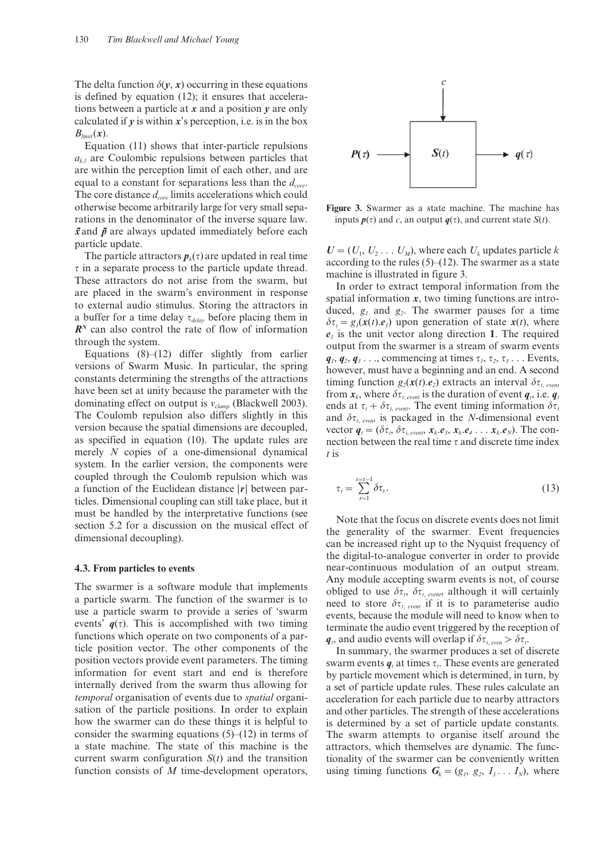The delta function  $\delta(y, x)$  occurring in these equations is defined by equation (12); it ensures that accelerations between a particle at *x* and a position *y* are only calculated if  $y$  is within  $x$ 's perception, i.e. is in the box  $B_{limit}(x)$ .

Equation (11) shows that inter-particle repulsions  $a_{k,l}$  are Coulombic repulsions between particles that are within the perception limit of each other, and are equal to a constant for separations less than the  $d_{core}$ . The core distance  $d_{core}$  limits accelerations which could otherwise become arbitrarily large for very small separations in the denominator of the inverse square law.  $\bar{x}$  and  $\bar{p}$  are always updated immediately before each particle update.

The particle attractors  $p_k(\tau)$  are updated in real time  $\tau$  in a separate process to the particle update thread. These attractors do not arise from the swarm, but are placed in the swarm's environment in response to external audio stimulus. Storing the attractors in a buffer for a time delay  $\tau_{delay}$  before placing them in *RN* can also control the rate of flow of information through the system.

Equations  $(8)$ – $(12)$  differ slightly from earlier versions of Swarm Music. In particular, the spring constants determining the strengths of the attractions have been set at unity because the parameter with the dominating effect on output is  $v_{clamm}$  (Blackwell 2003). The Coulomb repulsion also differs slightly in this version because the spatial dimensions are decoupled, as specified in equation (10). The update rules are merely *N* copies of a one-dimensional dynamical system. In the earlier version, the components were coupled through the Coulomb repulsion which was a function of the Euclidean distance |*r*| between particles. Dimensional coupling can still take place, but it must be handled by the interpretative functions (see section 5.2 for a discussion on the musical effect of dimensional decoupling).

#### **4.3. From particles to events**

The swarmer is a software module that implements a particle swarm. The function of the swarmer is to use a particle swarm to provide a series of 'swarm events'  $q(\tau)$ . This is accomplished with two timing functions which operate on two components of a particle position vector. The other components of the position vectors provide event parameters. The timing information for event start and end is therefore internally derived from the swarm thus allowing for *temporal* organisation of events due to *spatial* organisation of the particle positions. In order to explain how the swarmer can do these things it is helpful to consider the swarming equations  $(5)$ – $(12)$  in terms of a state machine. The state of this machine is the current swarm configuration  $S(t)$  and the transition function consists of *M* time-development operators,



**Figure 3.** Swarmer as a state machine. The machine has inputs  $p(\tau)$  and *c*, an output  $q(\tau)$ , and current state *S*(*t*).

 $U = (U_1, U_2 \dots U_M)$ , where each  $U_k$  updates particle  $k$ according to the rules  $(5)$ – $(12)$ . The swarmer as a state machine is illustrated in figure 3.

In order to extract temporal information from the spatial information *x*, two timing functions are introduced,  $g_1$  and  $g_2$ . The swarmer pauses for a time  $\delta\tau_t = g_1(\mathbf{x}(t), e_1)$  upon generation of state  $\mathbf{x}(t)$ , where  $e_i$  is the unit vector along direction 1. The required output from the swarmer is a stream of swarm events  $q_1, q_2, q_3, \ldots$ , commencing at times  $\tau_1, \tau_2, \tau_3, \ldots$  Events, however, must have a beginning and an end. A second timing function  $g_2(\mathbf{x}(t), e_2)$  extracts an interval  $\delta \tau_{t, event}$ from  $x_k$ , where  $\delta \tau_{t, event}$  is the duration of event  $q_t$ , i.e.  $q_t$ ends at  $\tau_t + \delta \tau_{t, event}$ . The event timing information  $\delta \tau_t$ . and  $\delta\tau_{t, event}$  is packaged in the *N*-dimensional event vector  $q_t = (\delta \tau_i, \delta \tau_i)$ , *events*,  $x_k \cdot e_3$ ,  $x_k \cdot e_4 \dots x_k \cdot e_N$ ). The connection between the real time  $\tau$  and discrete time index *t* is

$$
\tau_t = \sum_{s=1}^{s=t-1} \delta \tau_s.
$$
\n(13)

Note that the focus on discrete events does not limit the generality of the swarmer. Event frequencies can be increased right up to the Nyquist frequency of the digital-to-analogue converter in order to provide near-continuous modulation of an output stream. Any module accepting swarm events is not, of course obliged to use  $\delta \tau_t$ ,  $\delta \tau_t$ , *event*, although it will certainly need to store  $\delta\tau_{t, event}$  if it is to parameterise audio events, because the module will need to know when to terminate the audio event triggered by the reception of  $q_t$ , and audio events will overlap if  $\delta \tau_{t, even} > \delta \tau_t$ .

In summary, the swarmer produces a set of discrete swarm events  $q_t$  at times  $\tau_t$ . These events are generated by particle movement which is determined, in turn, by a set of particle update rules. These rules calculate an acceleration for each particle due to nearby attractors and other particles. The strength of these accelerations is determined by a set of particle update constants. The swarm attempts to organise itself around the attractors, which themselves are dynamic. The functionality of the swarmer can be conveniently written using timing functions  $G_k = (g_1, g_2, I_3, \ldots I_N)$ , where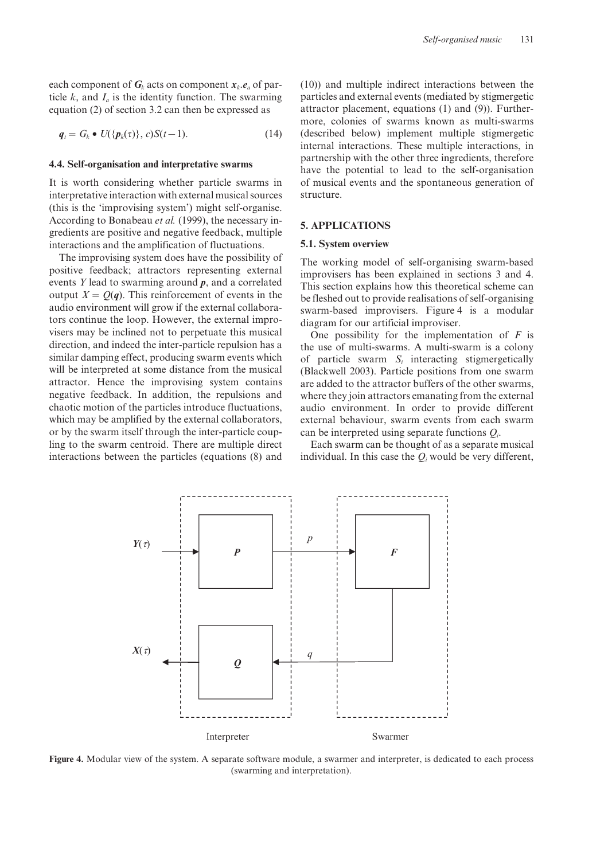each component of  $G_k$  acts on component  $x_k$ .  $e_a$  of particle  $k$ , and  $I_a$  is the identity function. The swarming equation (2) of section 3.2 can then be expressed as

$$
\boldsymbol{q}_t = G_k \bullet U(\{\boldsymbol{p}_k(\tau)\}, c)S(t-1). \tag{14}
$$

#### **4.4. Self-organisation and interpretative swarms**

It is worth considering whether particle swarms in interpretative interaction with external musical sources (this is the 'improvising system') might self-organise. According to Bonabeau *et al.* (1999), the necessary ingredients are positive and negative feedback, multiple interactions and the amplification of fluctuations.

The improvising system does have the possibility of positive feedback; attractors representing external events *Y* lead to swarming around *p*, and a correlated output  $X = Q(q)$ . This reinforcement of events in the audio environment will grow if the external collaborators continue the loop. However, the external improvisers may be inclined not to perpetuate this musical direction, and indeed the inter-particle repulsion has a similar damping effect, producing swarm events which will be interpreted at some distance from the musical attractor. Hence the improvising system contains negative feedback. In addition, the repulsions and chaotic motion of the particles introduce fluctuations, which may be amplified by the external collaborators, or by the swarm itself through the inter-particle coupling to the swarm centroid. There are multiple direct interactions between the particles (equations (8) and (10)) and multiple indirect interactions between the particles and external events (mediated by stigmergetic attractor placement, equations (1) and (9)). Furthermore, colonies of swarms known as multi-swarms (described below) implement multiple stigmergetic internal interactions. These multiple interactions, in partnership with the other three ingredients, therefore have the potential to lead to the self-organisation of musical events and the spontaneous generation of structure.

#### **5. APPLICATIONS**

#### **5.1. System overview**

The working model of self-organising swarm-based improvisers has been explained in sections 3 and 4. This section explains how this theoretical scheme can be fleshed out to provide realisations of self-organising swarm-based improvisers. Figure 4 is a modular diagram for our artificial improviser.

One possibility for the implementation of *F* is the use of multi-swarms. A multi-swarm is a colony of particle swarm *Si* interacting stigmergetically (Blackwell 2003). Particle positions from one swarm are added to the attractor buffers of the other swarms, where they join attractors emanating from the external audio environment. In order to provide different external behaviour, swarm events from each swarm can be interpreted using separate functions *Qi* .

Each swarm can be thought of as a separate musical individual. In this case the  $Q_i$  would be very different,



**Figure 4.** Modular view of the system. A separate software module, a swarmer and interpreter, is dedicated to each process (swarming and interpretation).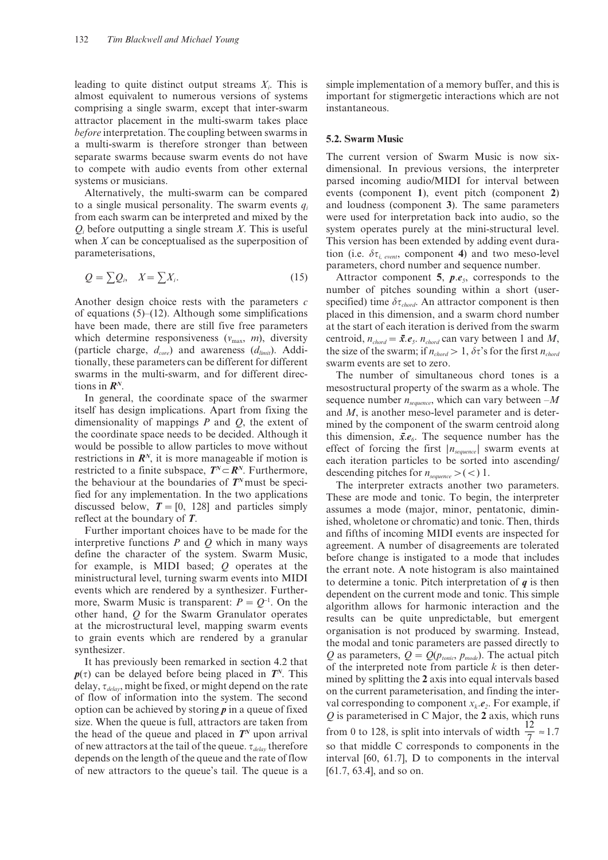leading to quite distinct output streams *Xi* . This is almost equivalent to numerous versions of systems comprising a single swarm, except that inter-swarm attractor placement in the multi-swarm takes place *before* interpretation. The coupling between swarms in a multi-swarm is therefore stronger than between separate swarms because swarm events do not have to compete with audio events from other external systems or musicians.

Alternatively, the multi-swarm can be compared to a single musical personality. The swarm events  $q_i$ from each swarm can be interpreted and mixed by the  $Q_i$  before outputting a single stream *X*. This is useful when *X* can be conceptualised as the superposition of parameterisations,

$$
Q = \sum Q_i, \quad X = \sum X_i. \tag{15}
$$

Another design choice rests with the parameters *c* of equations  $(5)$ – $(12)$ . Although some simplifications have been made, there are still five free parameters which determine responsiveness  $(v_{\text{max}}, m)$ , diversity (particle charge,  $d_{core}$ ) and awareness ( $d_{limit}$ ). Additionally, these parameters can be different for different swarms in the multi-swarm, and for different directions in *RN*.

In general, the coordinate space of the swarmer itself has design implications. Apart from fixing the dimensionality of mappings *P* and *Q*, the extent of the coordinate space needs to be decided. Although it would be possible to allow particles to move without restrictions in  $\mathbb{R}^N$ , it is more manageable if motion is restricted to a finite subspace,  $T^N \subset \mathbb{R}^N$ . Furthermore, the behaviour at the boundaries of  $T<sup>N</sup>$  must be specified for any implementation. In the two applications discussed below,  $T = [0, 128]$  and particles simply reflect at the boundary of *T*.

Further important choices have to be made for the interpretive functions *P* and *Q* which in many ways define the character of the system. Swarm Music, for example, is MIDI based; *Q* operates at the ministructural level, turning swarm events into MIDI events which are rendered by a synthesizer. Furthermore, Swarm Music is transparent:  $P = Q^{-1}$ . On the other hand, *Q* for the Swarm Granulator operates at the microstructural level, mapping swarm events to grain events which are rendered by a granular synthesizer.

It has previously been remarked in section 4.2 that  $p(\tau)$  can be delayed before being placed in  $T<sup>N</sup>$ . This delay, t*delay*, might be fixed, or might depend on the rate of flow of information into the system. The second option can be achieved by storing *p* in a queue of fixed size. When the queue is full, attractors are taken from the head of the queue and placed in  $T<sup>N</sup>$  upon arrival of new attractors at the tail of the queue.  $\tau_{delay}$  therefore depends on the length of the queue and the rate of flow of new attractors to the queue's tail. The queue is a

simple implementation of a memory buffer, and this is important for stigmergetic interactions which are not instantaneous.

#### **5.2. Swarm Music**

The current version of Swarm Music is now sixdimensional. In previous versions, the interpreter parsed incoming audio/MIDI for interval between events (component **1**), event pitch (component **2**) and loudness (component **3**). The same parameters were used for interpretation back into audio, so the system operates purely at the mini-structural level. This version has been extended by adding event duration (i.e.  $\delta \tau_i$ , *event*, component 4) and two meso-level parameters, chord number and sequence number.

Attractor component **5**, *p*.*e5*, corresponds to the number of pitches sounding within a short (userspecified) time  $\delta\tau_{chord}$ . An attractor component is then placed in this dimension, and a swarm chord number at the start of each iteration is derived from the swarm centroid,  $n_{chord} = \bar{x} \cdot e_5$ .  $n_{chord}$  can vary between 1 and *M*, the size of the swarm; if  $n_{chord} > 1$ ,  $\delta \tau$ 's for the first  $n_{chord}$ swarm events are set to zero.

The number of simultaneous chord tones is a mesostructural property of the swarm as a whole. The sequence number  $n_{sequence}$ , which can vary between  $-M$ and *M*, is another meso-level parameter and is determined by the component of the swarm centroid along this dimension,  $\bar{x}$ *.e<sub>6</sub>*. The sequence number has the effect of forcing the first  $|n_{\text{sequence}}|$  swarm events at each iteration particles to be sorted into ascending/ descending pitches for  $n_{sequence}$  > (<) 1.

The interpreter extracts another two parameters. These are mode and tonic. To begin, the interpreter assumes a mode (major, minor, pentatonic, diminished, wholetone or chromatic) and tonic. Then, thirds and fifths of incoming MIDI events are inspected for agreement. A number of disagreements are tolerated before change is instigated to a mode that includes the errant note. A note histogram is also maintained to determine a tonic. Pitch interpretation of *q* is then dependent on the current mode and tonic. This simple algorithm allows for harmonic interaction and the results can be quite unpredictable, but emergent organisation is not produced by swarming. Instead, the modal and tonic parameters are passed directly to *Q* as parameters,  $Q = Q(p_{\text{tonic}}, p_{\text{mode}})$ . The actual pitch of the interpreted note from particle *k* is then determined by splitting the **2** axis into equal intervals based on the current parameterisation, and finding the interval corresponding to component  $x_k \text{.} e_2$ . For example, if *Q* is parameterised in C Major, the **2** axis, which runs from 0 to 128, is split into intervals of width  $\frac{12}{7} \approx 1.7$ so that middle C corresponds to components in the interval [60, 61.7], D to components in the interval [61.7, 63.4], and so on.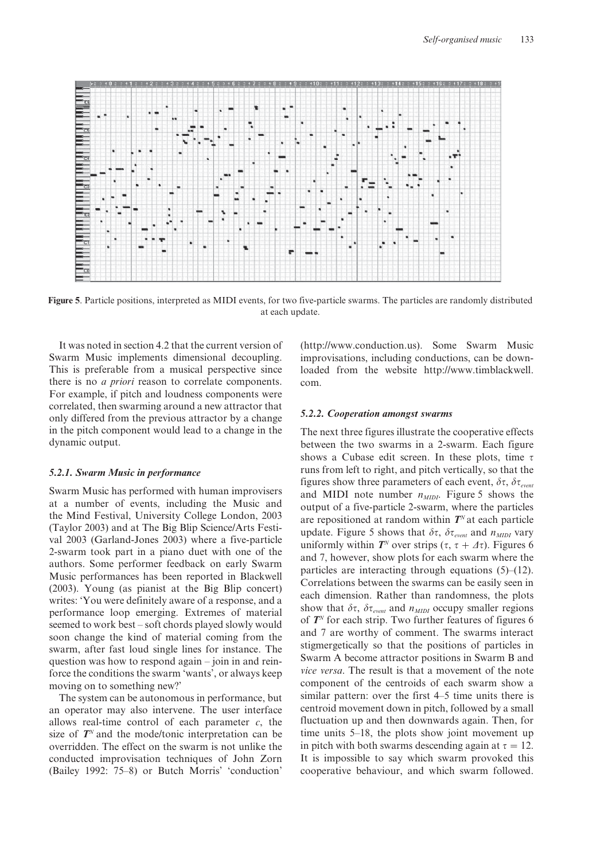

**Figure 5**. Particle positions, interpreted as MIDI events, for two five-particle swarms. The particles are randomly distributed at each update.

It was noted in section 4.2 that the current version of Swarm Music implements dimensional decoupling. This is preferable from a musical perspective since there is no *a priori* reason to correlate components. For example, if pitch and loudness components were correlated, then swarming around a new attractor that only differed from the previous attractor by a change in the pitch component would lead to a change in the dynamic output.

#### *5.2.1. Swarm Music in performance*

Swarm Music has performed with human improvisers at a number of events, including the Music and the Mind Festival, University College London, 2003 (Taylor 2003) and at The Big Blip Science/Arts Festival 2003 (Garland-Jones 2003) where a five-particle 2-swarm took part in a piano duet with one of the authors. Some performer feedback on early Swarm Music performances has been reported in Blackwell (2003). Young (as pianist at the Big Blip concert) writes: 'You were definitely aware of a response, and a performance loop emerging. Extremes of material seemed to work best – soft chords played slowly would soon change the kind of material coming from the swarm, after fast loud single lines for instance. The question was how to respond again – join in and reinforce the conditions the swarm 'wants', or always keep moving on to something new?'

The system can be autonomous in performance, but an operator may also intervene. The user interface allows real-time control of each parameter *c*, the size of  $T^N$  and the mode/tonic interpretation can be overridden. The effect on the swarm is not unlike the conducted improvisation techniques of John Zorn (Bailey 1992: 75–8) or Butch Morris' 'conduction'

(http://www.conduction.us). Some Swarm Music improvisations, including conductions, can be downloaded from the website http://www.timblackwell. com.

#### *5.2.2. Cooperation amongst swarms*

The next three figures illustrate the cooperative effects between the two swarms in a 2-swarm. Each figure shows a Cubase edit screen. In these plots, time  $\tau$ runs from left to right, and pitch vertically, so that the figures show three parameters of each event,  $\delta \tau$ ,  $\delta \tau_{event}$ and MIDI note number  $n_{MDI}$ . Figure 5 shows the output of a five-particle 2-swarm, where the particles are repositioned at random within  $T<sup>N</sup>$  at each particle update. Figure 5 shows that  $\delta \tau$ ,  $\delta \tau_{event}$  and  $n_{MIDI}$  vary uniformly within  $T^N$  over strips  $(\tau, \tau + \Delta \tau)$ . Figures 6 and 7, however, show plots for each swarm where the particles are interacting through equations (5)–(12). Correlations between the swarms can be easily seen in each dimension. Rather than randomness, the plots show that  $\delta \tau$ ,  $\delta \tau_{event}$  and  $n_{MIDI}$  occupy smaller regions of *T<sup>N</sup>* for each strip. Two further features of figures 6 and 7 are worthy of comment. The swarms interact stigmergetically so that the positions of particles in Swarm A become attractor positions in Swarm B and *vice versa*. The result is that a movement of the note component of the centroids of each swarm show a similar pattern: over the first 4–5 time units there is centroid movement down in pitch, followed by a small fluctuation up and then downwards again. Then, for time units 5–18, the plots show joint movement up in pitch with both swarms descending again at  $\tau = 12$ . It is impossible to say which swarm provoked this cooperative behaviour, and which swarm followed.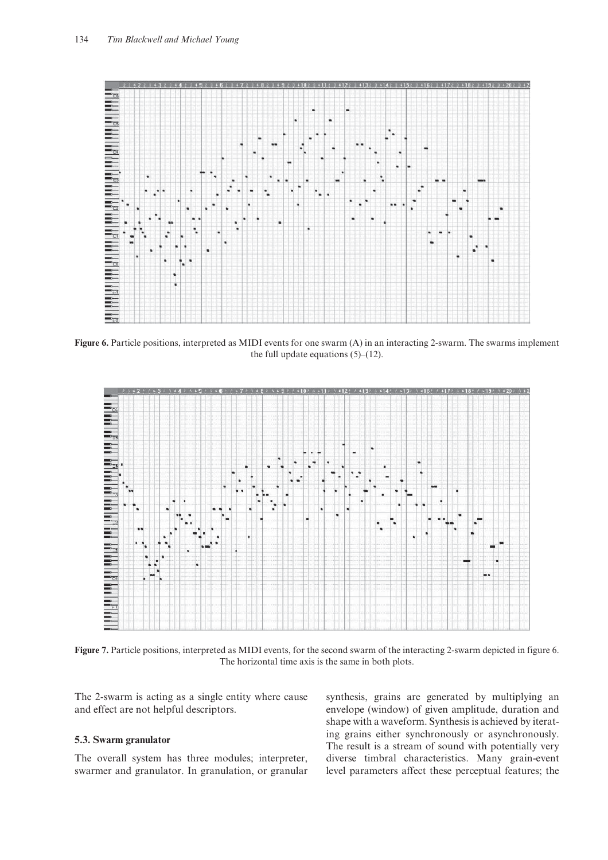

**Figure 6.** Particle positions, interpreted as MIDI events for one swarm (A) in an interacting 2-swarm. The swarms implement the full update equations  $(5)$ – $(12)$ .



Figure 7. Particle positions, interpreted as MIDI events, for the second swarm of the interacting 2-swarm depicted in figure 6. The horizontal time axis is the same in both plots.

The 2-swarm is acting as a single entity where cause and effect are not helpful descriptors.

## **5.3. Swarm granulator**

The overall system has three modules; interpreter, swarmer and granulator. In granulation, or granular synthesis, grains are generated by multiplying an envelope (window) of given amplitude, duration and shape with a waveform. Synthesis is achieved by iterating grains either synchronously or asynchronously. The result is a stream of sound with potentially very diverse timbral characteristics. Many grain-event level parameters affect these perceptual features; the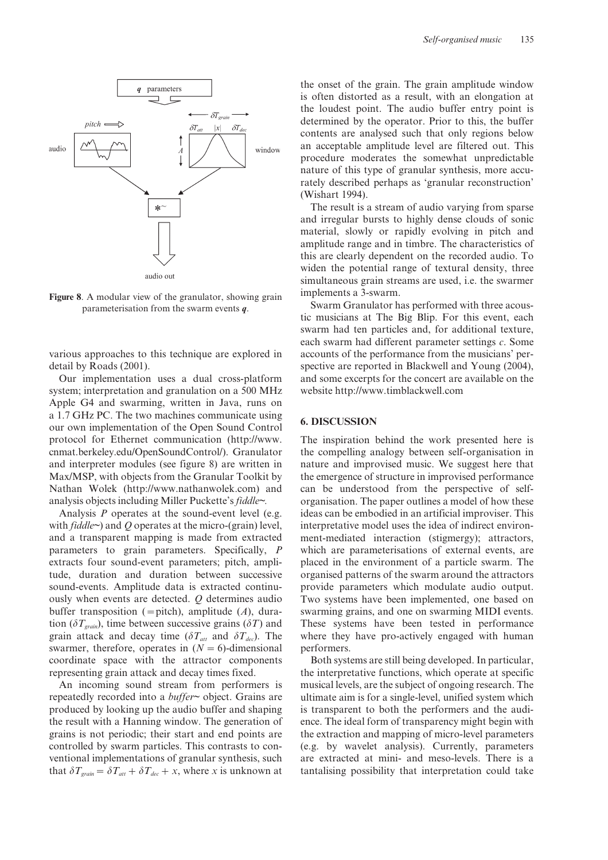

**Figure 8**. A modular view of the granulator, showing grain parameterisation from the swarm events *q*.

various approaches to this technique are explored in detail by Roads (2001).

Our implementation uses a dual cross-platform system; interpretation and granulation on a 500 MHz Apple G4 and swarming, written in Java, runs on a 1.7 GHz PC. The two machines communicate using our own implementation of the Open Sound Control protocol for Ethernet communication (http://www. cnmat.berkeley.edu/OpenSoundControl/). Granulator and interpreter modules (see figure 8) are written in Max/MSP, with objects from the Granular Toolkit by Nathan Wolek (http://www.nathanwolek.com) and analysis objects including Miller Puckette's *fiddle~.*

Analysis *P* operates at the sound-event level (e.g. with *fiddle~*) and *Q* operates at the micro*-*(grain) level, and a transparent mapping is made from extracted parameters to grain parameters. Specifically, *P* extracts four sound-event parameters; pitch, amplitude, duration and duration between successive sound-events. Amplitude data is extracted continuously when events are detected. *Q* determines audio buffer transposition (=pitch), amplitude (*A*), duration ( $\delta T_{\text{train}}$ ), time between successive grains ( $\delta T$ ) and grain attack and decay time ( $\delta T_{\text{att}}$  and  $\delta T_{\text{dec}}$ ). The swarmer, therefore, operates in  $(N = 6)$ -dimensional coordinate space with the attractor components representing grain attack and decay times fixed.

An incoming sound stream from performers is repeatedly recorded into a *buffer~* object. Grains are produced by looking up the audio buffer and shaping the result with a Hanning window. The generation of grains is not periodic; their start and end points are controlled by swarm particles. This contrasts to conventional implementations of granular synthesis, such that  $\delta T_{\text{grain}} = \delta T_{\text{att}} + \delta T_{\text{dec}} + x$ , where *x* is unknown at

the onset of the grain. The grain amplitude window is often distorted as a result, with an elongation at the loudest point. The audio buffer entry point is determined by the operator. Prior to this, the buffer contents are analysed such that only regions below an acceptable amplitude level are filtered out. This procedure moderates the somewhat unpredictable nature of this type of granular synthesis, more accurately described perhaps as 'granular reconstruction' (Wishart 1994).

The result is a stream of audio varying from sparse and irregular bursts to highly dense clouds of sonic material, slowly or rapidly evolving in pitch and amplitude range and in timbre. The characteristics of this are clearly dependent on the recorded audio. To widen the potential range of textural density, three simultaneous grain streams are used, i.e. the swarmer implements a 3-swarm.

Swarm Granulator has performed with three acoustic musicians at The Big Blip. For this event, each swarm had ten particles and, for additional texture, each swarm had different parameter settings *c*. Some accounts of the performance from the musicians' perspective are reported in Blackwell and Young (2004), and some excerpts for the concert are available on the website http://www.timblackwell.com

#### **6. DISCUSSION**

The inspiration behind the work presented here is the compelling analogy between self-organisation in nature and improvised music. We suggest here that the emergence of structure in improvised performance can be understood from the perspective of selforganisation. The paper outlines a model of how these ideas can be embodied in an artificial improviser. This interpretative model uses the idea of indirect environment-mediated interaction (stigmergy); attractors, which are parameterisations of external events, are placed in the environment of a particle swarm. The organised patterns of the swarm around the attractors provide parameters which modulate audio output. Two systems have been implemented, one based on swarming grains, and one on swarming MIDI events. These systems have been tested in performance where they have pro-actively engaged with human performers.

Both systems are still being developed. In particular, the interpretative functions, which operate at specific musical levels, are the subject of ongoing research. The ultimate aim is for a single-level, unified system which is transparent to both the performers and the audience. The ideal form of transparency might begin with the extraction and mapping of micro-level parameters (e.g. by wavelet analysis). Currently, parameters are extracted at mini- and meso-levels. There is a tantalising possibility that interpretation could take